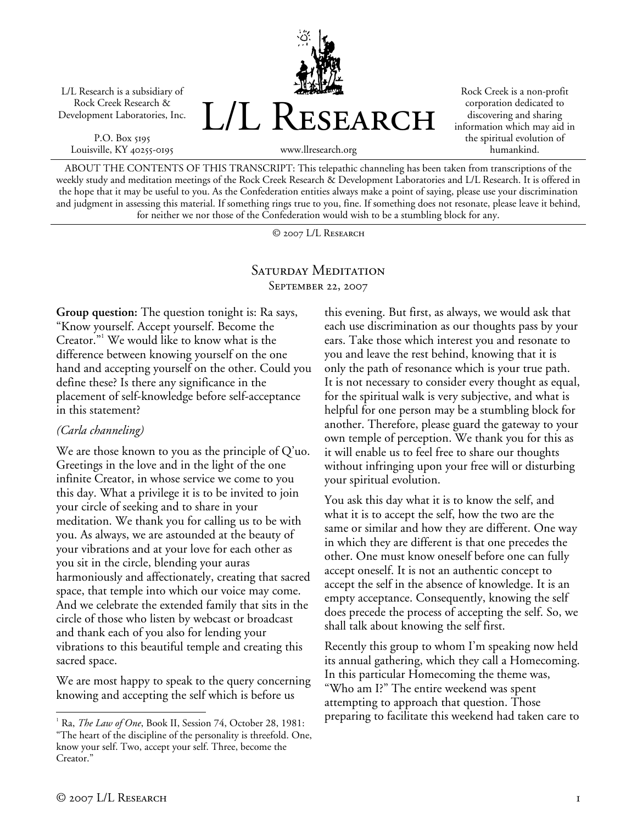L/L Research is a subsidiary of Rock Creek Research & Development Laboratories, Inc.

P.O. Box 5195 Louisville, KY 40255-0195 L/L Research

Rock Creek is a non-profit corporation dedicated to discovering and sharing information which may aid in the spiritual evolution of humankind.

www.llresearch.org

ABOUT THE CONTENTS OF THIS TRANSCRIPT: This telepathic channeling has been taken from transcriptions of the weekly study and meditation meetings of the Rock Creek Research & Development Laboratories and L/L Research. It is offered in the hope that it may be useful to you. As the Confederation entities always make a point of saying, please use your discrimination and judgment in assessing this material. If something rings true to you, fine. If something does not resonate, please leave it behind, for neither we nor those of the Confederation would wish to be a stumbling block for any.

© 2007 L/L Research

## SATURDAY MEDITATION September 22, 2007

**Group question:** The question tonight is: Ra says, "Know yourself. Accept yourself. Become the Creator."<sup>1</sup> We would like to know what is the difference between knowing yourself on the one hand and accepting yourself on the other. Could you define these? Is there any significance in the placement of self-knowledge before self-acceptance in this statement?

## *(Carla channeling)*

We are those known to you as the principle of Q'uo. Greetings in the love and in the light of the one infinite Creator, in whose service we come to you this day. What a privilege it is to be invited to join your circle of seeking and to share in your meditation. We thank you for calling us to be with you. As always, we are astounded at the beauty of your vibrations and at your love for each other as you sit in the circle, blending your auras harmoniously and affectionately, creating that sacred space, that temple into which our voice may come. And we celebrate the extended family that sits in the circle of those who listen by webcast or broadcast and thank each of you also for lending your vibrations to this beautiful temple and creating this sacred space.

We are most happy to speak to the query concerning knowing and accepting the self which is before us

this evening. But first, as always, we would ask that each use discrimination as our thoughts pass by your ears. Take those which interest you and resonate to you and leave the rest behind, knowing that it is only the path of resonance which is your true path. It is not necessary to consider every thought as equal, for the spiritual walk is very subjective, and what is helpful for one person may be a stumbling block for another. Therefore, please guard the gateway to your own temple of perception. We thank you for this as it will enable us to feel free to share our thoughts without infringing upon your free will or disturbing your spiritual evolution.

You ask this day what it is to know the self, and what it is to accept the self, how the two are the same or similar and how they are different. One way in which they are different is that one precedes the other. One must know oneself before one can fully accept oneself. It is not an authentic concept to accept the self in the absence of knowledge. It is an empty acceptance. Consequently, knowing the self does precede the process of accepting the self. So, we shall talk about knowing the self first.

Recently this group to whom I'm speaking now held its annual gathering, which they call a Homecoming. In this particular Homecoming the theme was, "Who am I?" The entire weekend was spent attempting to approach that question. Those preparing to facilitate this weekend had taken care to

<sup>&</sup>lt;sup>1</sup> Ra, *The Law of One*, Book II, Session 74, October 28, 1981: "The heart of the discipline of the personality is threefold. One, know your self. Two, accept your self. Three, become the Creator."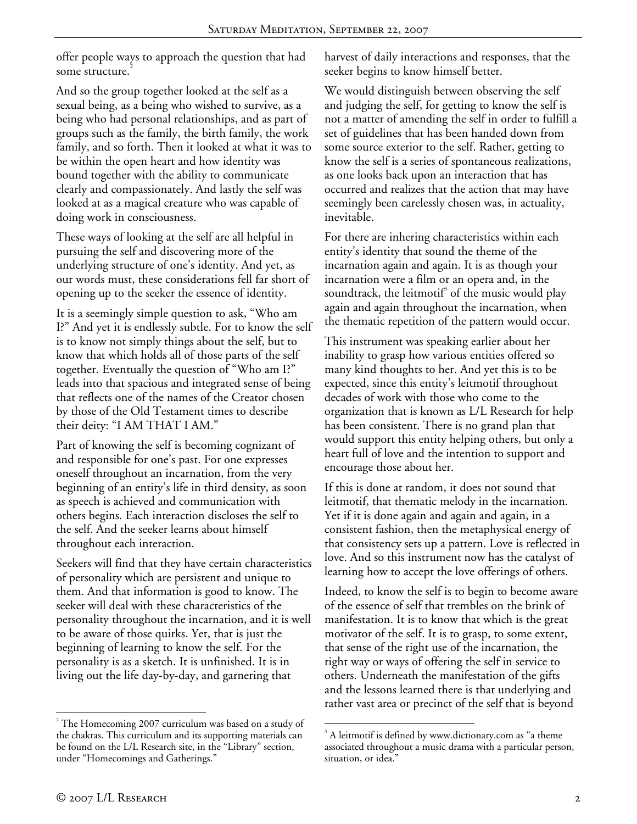offer people ways to approach the question that had some structure.

And so the group together looked at the self as a sexual being, as a being who wished to survive, as a being who had personal relationships, and as part of groups such as the family, the birth family, the work family, and so forth. Then it looked at what it was to be within the open heart and how identity was bound together with the ability to communicate clearly and compassionately. And lastly the self was looked at as a magical creature who was capable of doing work in consciousness.

These ways of looking at the self are all helpful in pursuing the self and discovering more of the underlying structure of one's identity. And yet, as our words must, these considerations fell far short of opening up to the seeker the essence of identity.

It is a seemingly simple question to ask, "Who am I?" And yet it is endlessly subtle. For to know the self is to know not simply things about the self, but to know that which holds all of those parts of the self together. Eventually the question of "Who am I?" leads into that spacious and integrated sense of being that reflects one of the names of the Creator chosen by those of the Old Testament times to describe their deity: "I AM THAT I AM."

Part of knowing the self is becoming cognizant of and responsible for one's past. For one expresses oneself throughout an incarnation, from the very beginning of an entity's life in third density, as soon as speech is achieved and communication with others begins. Each interaction discloses the self to the self. And the seeker learns about himself throughout each interaction.

Seekers will find that they have certain characteristics of personality which are persistent and unique to them. And that information is good to know. The seeker will deal with these characteristics of the personality throughout the incarnation, and it is well to be aware of those quirks. Yet, that is just the beginning of learning to know the self. For the personality is as a sketch. It is unfinished. It is in living out the life day-by-day, and garnering that

harvest of daily interactions and responses, that the seeker begins to know himself better.

We would distinguish between observing the self and judging the self, for getting to know the self is not a matter of amending the self in order to fulfill a set of guidelines that has been handed down from some source exterior to the self. Rather, getting to know the self is a series of spontaneous realizations, as one looks back upon an interaction that has occurred and realizes that the action that may have seemingly been carelessly chosen was, in actuality, inevitable.

For there are inhering characteristics within each entity's identity that sound the theme of the incarnation again and again. It is as though your incarnation were a film or an opera and, in the soundtrack, the leitmotif $\hat{J}$  of the music would play again and again throughout the incarnation, when the thematic repetition of the pattern would occur.

This instrument was speaking earlier about her inability to grasp how various entities offered so many kind thoughts to her. And yet this is to be expected, since this entity's leitmotif throughout decades of work with those who come to the organization that is known as L/L Research for help has been consistent. There is no grand plan that would support this entity helping others, but only a heart full of love and the intention to support and encourage those about her.

If this is done at random, it does not sound that leitmotif, that thematic melody in the incarnation. Yet if it is done again and again and again, in a consistent fashion, then the metaphysical energy of that consistency sets up a pattern. Love is reflected in love. And so this instrument now has the catalyst of learning how to accept the love offerings of others.

Indeed, to know the self is to begin to become aware of the essence of self that trembles on the brink of manifestation. It is to know that which is the great motivator of the self. It is to grasp, to some extent, that sense of the right use of the incarnation, the right way or ways of offering the self in service to others. Underneath the manifestation of the gifts and the lessons learned there is that underlying and rather vast area or precinct of the self that is beyond

 $\overline{a}$ 

 $2$ <sup>2</sup> The Homecoming 2007 curriculum was based on a study of the chakras. This curriculum and its supporting materials can be found on the L/L Research site, in the "Library" section, under "Homecomings and Gatherings."

 $\overline{a}$ <sup>3</sup> A leitmotif is defined by www.dictionary.com as "a theme associated throughout a music drama with a particular person, situation, or idea."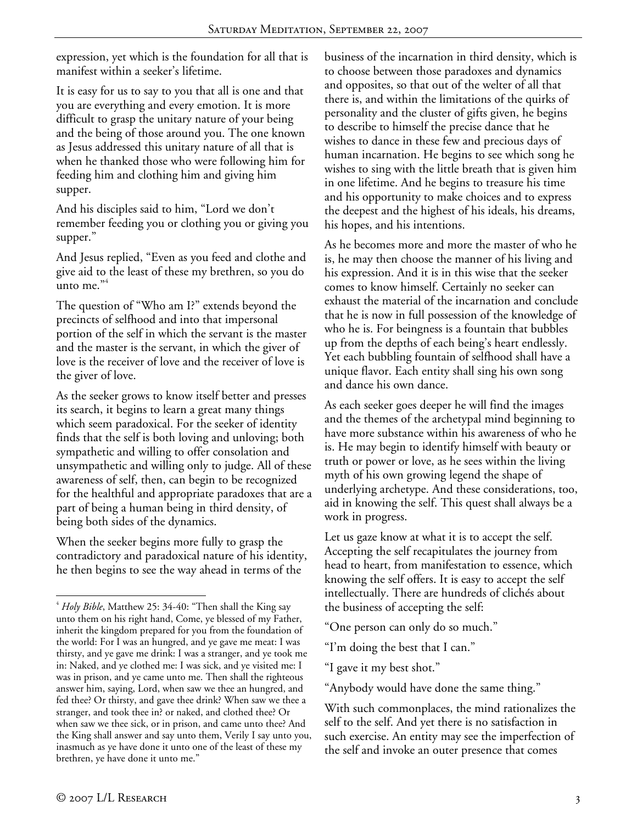expression, yet which is the foundation for all that is manifest within a seeker's lifetime.

It is easy for us to say to you that all is one and that you are everything and every emotion. It is more difficult to grasp the unitary nature of your being and the being of those around you. The one known as Jesus addressed this unitary nature of all that is when he thanked those who were following him for feeding him and clothing him and giving him supper.

And his disciples said to him, "Lord we don't remember feeding you or clothing you or giving you supper."

And Jesus replied, "Even as you feed and clothe and give aid to the least of these my brethren, so you do unto me."<sup>4</sup>

The question of "Who am I?" extends beyond the precincts of selfhood and into that impersonal portion of the self in which the servant is the master and the master is the servant, in which the giver of love is the receiver of love and the receiver of love is the giver of love.

As the seeker grows to know itself better and presses its search, it begins to learn a great many things which seem paradoxical. For the seeker of identity finds that the self is both loving and unloving; both sympathetic and willing to offer consolation and unsympathetic and willing only to judge. All of these awareness of self, then, can begin to be recognized for the healthful and appropriate paradoxes that are a part of being a human being in third density, of being both sides of the dynamics.

When the seeker begins more fully to grasp the contradictory and paradoxical nature of his identity, he then begins to see the way ahead in terms of the

business of the incarnation in third density, which is to choose between those paradoxes and dynamics and opposites, so that out of the welter of all that there is, and within the limitations of the quirks of personality and the cluster of gifts given, he begins to describe to himself the precise dance that he wishes to dance in these few and precious days of human incarnation. He begins to see which song he wishes to sing with the little breath that is given him in one lifetime. And he begins to treasure his time and his opportunity to make choices and to express the deepest and the highest of his ideals, his dreams, his hopes, and his intentions.

As he becomes more and more the master of who he is, he may then choose the manner of his living and his expression. And it is in this wise that the seeker comes to know himself. Certainly no seeker can exhaust the material of the incarnation and conclude that he is now in full possession of the knowledge of who he is. For beingness is a fountain that bubbles up from the depths of each being's heart endlessly. Yet each bubbling fountain of selfhood shall have a unique flavor. Each entity shall sing his own song and dance his own dance.

As each seeker goes deeper he will find the images and the themes of the archetypal mind beginning to have more substance within his awareness of who he is. He may begin to identify himself with beauty or truth or power or love, as he sees within the living myth of his own growing legend the shape of underlying archetype. And these considerations, too, aid in knowing the self. This quest shall always be a work in progress.

Let us gaze know at what it is to accept the self. Accepting the self recapitulates the journey from head to heart, from manifestation to essence, which knowing the self offers. It is easy to accept the self intellectually. There are hundreds of clichés about the business of accepting the self:

"One person can only do so much."

"I'm doing the best that I can."

"I gave it my best shot."

"Anybody would have done the same thing."

With such commonplaces, the mind rationalizes the self to the self. And yet there is no satisfaction in such exercise. An entity may see the imperfection of the self and invoke an outer presence that comes

<sup>4</sup> *Holy Bible*, Matthew 25: 34-40: "Then shall the King say unto them on his right hand, Come, ye blessed of my Father, inherit the kingdom prepared for you from the foundation of the world: For I was an hungred, and ye gave me meat: I was thirsty, and ye gave me drink: I was a stranger, and ye took me in: Naked, and ye clothed me: I was sick, and ye visited me: I was in prison, and ye came unto me. Then shall the righteous answer him, saying, Lord, when saw we thee an hungred, and fed thee? Or thirsty, and gave thee drink? When saw we thee a stranger, and took thee in? or naked, and clothed thee? Or when saw we thee sick, or in prison, and came unto thee? And the King shall answer and say unto them, Verily I say unto you, inasmuch as ye have done it unto one of the least of these my brethren, ye have done it unto me."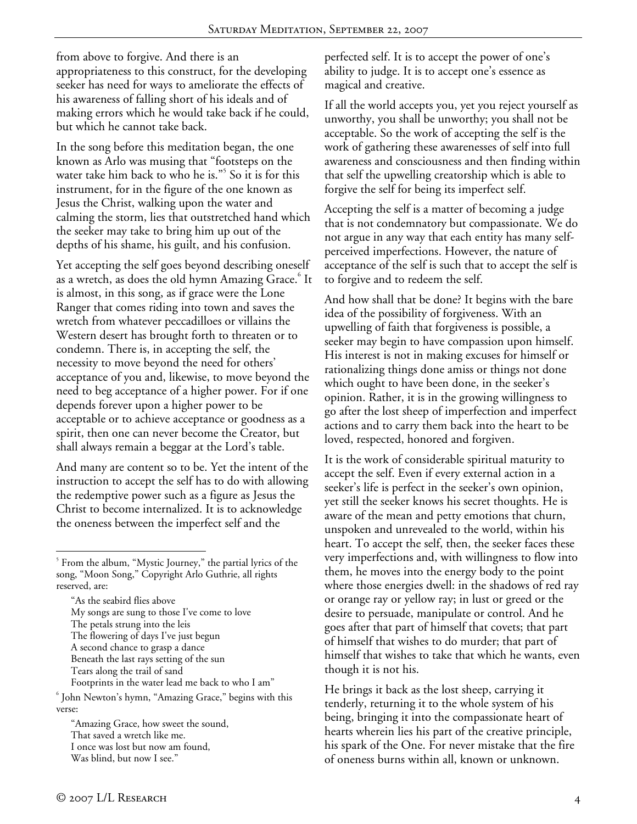from above to forgive. And there is an appropriateness to this construct, for the developing seeker has need for ways to ameliorate the effects of his awareness of falling short of his ideals and of making errors which he would take back if he could, but which he cannot take back.

In the song before this meditation began, the one known as Arlo was musing that "footsteps on the water take him back to who he is."<sup>5</sup> So it is for this instrument, for in the figure of the one known as Jesus the Christ, walking upon the water and calming the storm, lies that outstretched hand which the seeker may take to bring him up out of the depths of his shame, his guilt, and his confusion.

Yet accepting the self goes beyond describing oneself as a wretch, as does the old hymn Amazing Grace. $^{\rm 6}$  It is almost, in this song, as if grace were the Lone Ranger that comes riding into town and saves the wretch from whatever peccadilloes or villains the Western desert has brought forth to threaten or to condemn. There is, in accepting the self, the necessity to move beyond the need for others' acceptance of you and, likewise, to move beyond the need to beg acceptance of a higher power. For if one depends forever upon a higher power to be acceptable or to achieve acceptance or goodness as a spirit, then one can never become the Creator, but shall always remain a beggar at the Lord's table.

And many are content so to be. Yet the intent of the instruction to accept the self has to do with allowing the redemptive power such as a figure as Jesus the Christ to become internalized. It is to acknowledge the oneness between the imperfect self and the

"As the seabird flies above My songs are sung to those I've come to love The petals strung into the leis The flowering of days I've just begun A second chance to grasp a dance Beneath the last rays setting of the sun Tears along the trail of sand Footprints in the water lead me back to who I am"

 John Newton's hymn, "Amazing Grace," begins with this verse:

"Amazing Grace, how sweet the sound, That saved a wretch like me. I once was lost but now am found, Was blind, but now I see."

perfected self. It is to accept the power of one's ability to judge. It is to accept one's essence as magical and creative.

If all the world accepts you, yet you reject yourself as unworthy, you shall be unworthy; you shall not be acceptable. So the work of accepting the self is the work of gathering these awarenesses of self into full awareness and consciousness and then finding within that self the upwelling creatorship which is able to forgive the self for being its imperfect self.

Accepting the self is a matter of becoming a judge that is not condemnatory but compassionate. We do not argue in any way that each entity has many selfperceived imperfections. However, the nature of acceptance of the self is such that to accept the self is to forgive and to redeem the self.

And how shall that be done? It begins with the bare idea of the possibility of forgiveness. With an upwelling of faith that forgiveness is possible, a seeker may begin to have compassion upon himself. His interest is not in making excuses for himself or rationalizing things done amiss or things not done which ought to have been done, in the seeker's opinion. Rather, it is in the growing willingness to go after the lost sheep of imperfection and imperfect actions and to carry them back into the heart to be loved, respected, honored and forgiven.

It is the work of considerable spiritual maturity to accept the self. Even if every external action in a seeker's life is perfect in the seeker's own opinion, yet still the seeker knows his secret thoughts. He is aware of the mean and petty emotions that churn, unspoken and unrevealed to the world, within his heart. To accept the self, then, the seeker faces these very imperfections and, with willingness to flow into them, he moves into the energy body to the point where those energies dwell: in the shadows of red ray or orange ray or yellow ray; in lust or greed or the desire to persuade, manipulate or control. And he goes after that part of himself that covets; that part of himself that wishes to do murder; that part of himself that wishes to take that which he wants, even though it is not his.

He brings it back as the lost sheep, carrying it tenderly, returning it to the whole system of his being, bringing it into the compassionate heart of hearts wherein lies his part of the creative principle, his spark of the One. For never mistake that the fire of oneness burns within all, known or unknown.

<sup>&</sup>lt;sup>5</sup> From the album, "Mystic Journey," the partial lyrics of the song, "Moon Song," Copyright Arlo Guthrie, all rights reserved, are: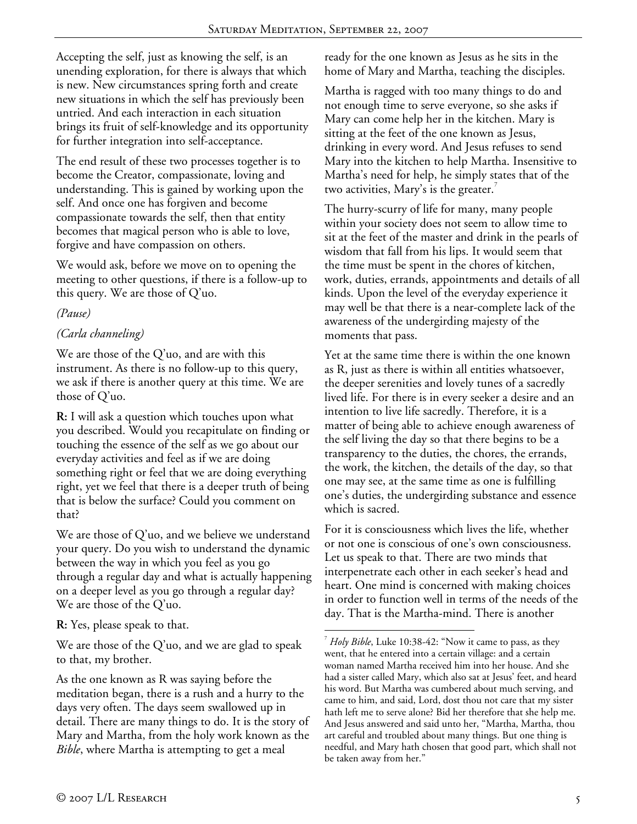$\overline{a}$ 

Accepting the self, just as knowing the self, is an unending exploration, for there is always that which is new. New circumstances spring forth and create new situations in which the self has previously been untried. And each interaction in each situation brings its fruit of self-knowledge and its opportunity for further integration into self-acceptance.

The end result of these two processes together is to become the Creator, compassionate, loving and understanding. This is gained by working upon the self. And once one has forgiven and become compassionate towards the self, then that entity becomes that magical person who is able to love, forgive and have compassion on others.

We would ask, before we move on to opening the meeting to other questions, if there is a follow-up to this query. We are those of Q'uo.

## *(Pause)*

## *(Carla channeling)*

We are those of the Q'uo, and are with this instrument. As there is no follow-up to this query, we ask if there is another query at this time. We are those of Q'uo.

**R:** I will ask a question which touches upon what you described. Would you recapitulate on finding or touching the essence of the self as we go about our everyday activities and feel as if we are doing something right or feel that we are doing everything right, yet we feel that there is a deeper truth of being that is below the surface? Could you comment on that?

We are those of Q'uo, and we believe we understand your query. Do you wish to understand the dynamic between the way in which you feel as you go through a regular day and what is actually happening on a deeper level as you go through a regular day? We are those of the Q'uo.

**R:** Yes, please speak to that.

We are those of the Q'uo, and we are glad to speak to that, my brother.

As the one known as R was saying before the meditation began, there is a rush and a hurry to the days very often. The days seem swallowed up in detail. There are many things to do. It is the story of Mary and Martha, from the holy work known as the *Bible*, where Martha is attempting to get a meal

ready for the one known as Jesus as he sits in the home of Mary and Martha, teaching the disciples.

Martha is ragged with too many things to do and not enough time to serve everyone, so she asks if Mary can come help her in the kitchen. Mary is sitting at the feet of the one known as Jesus, drinking in every word. And Jesus refuses to send Mary into the kitchen to help Martha. Insensitive to Martha's need for help, he simply states that of the two activities, Mary's is the greater.<sup>7</sup>

The hurry-scurry of life for many, many people within your society does not seem to allow time to sit at the feet of the master and drink in the pearls of wisdom that fall from his lips. It would seem that the time must be spent in the chores of kitchen, work, duties, errands, appointments and details of all kinds. Upon the level of the everyday experience it may well be that there is a near-complete lack of the awareness of the undergirding majesty of the moments that pass.

Yet at the same time there is within the one known as R, just as there is within all entities whatsoever, the deeper serenities and lovely tunes of a sacredly lived life. For there is in every seeker a desire and an intention to live life sacredly. Therefore, it is a matter of being able to achieve enough awareness of the self living the day so that there begins to be a transparency to the duties, the chores, the errands, the work, the kitchen, the details of the day, so that one may see, at the same time as one is fulfilling one's duties, the undergirding substance and essence which is sacred.

For it is consciousness which lives the life, whether or not one is conscious of one's own consciousness. Let us speak to that. There are two minds that interpenetrate each other in each seeker's head and heart. One mind is concerned with making choices in order to function well in terms of the needs of the day. That is the Martha-mind. There is another

<sup>7</sup> *Holy Bible*, Luke 10:38-42: "Now it came to pass, as they went, that he entered into a certain village: and a certain woman named Martha received him into her house. And she had a sister called Mary, which also sat at Jesus' feet, and heard his word. But Martha was cumbered about much serving, and came to him, and said, Lord, dost thou not care that my sister hath left me to serve alone? Bid her therefore that she help me. And Jesus answered and said unto her, "Martha, Martha, thou art careful and troubled about many things. But one thing is needful, and Mary hath chosen that good part, which shall not be taken away from her."